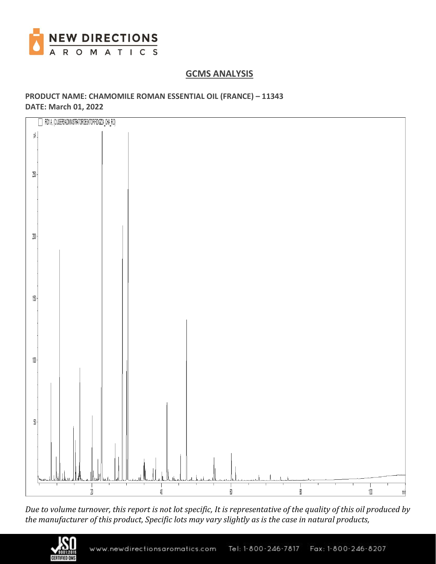

# **GCMS ANALYSIS**

## **PRODUCT NAME: CHAMOMILE ROMAN ESSENTIAL OIL (FRANCE) – 11343 DATE: March 01, 2022**



*Due to volume turnover, this report is not lot specific, It is representative of the quality of this oil produced by the manufacturer of this product, Specific lots may vary slightly as is the case in natural products,*

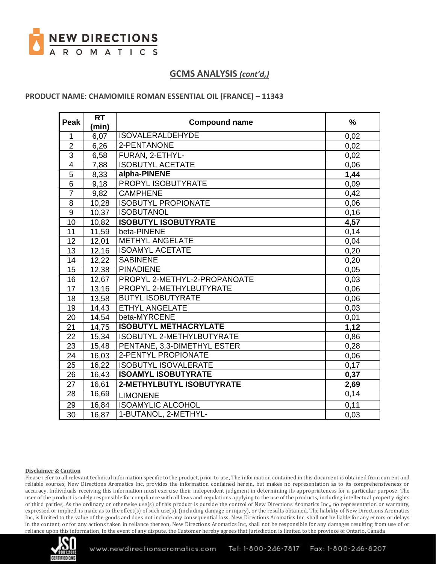

### **PRODUCT NAME: CHAMOMILE ROMAN ESSENTIAL OIL (FRANCE) – 11343**

| <b>Peak</b>     | <b>RT</b> | <b>Compound name</b>         | $\%$ |
|-----------------|-----------|------------------------------|------|
|                 | (min)     |                              |      |
| 1               | 6,07      | <b>ISOVALERALDEHYDE</b>      | 0,02 |
| $\overline{2}$  | 6,26      | 2-PENTANONE                  | 0,02 |
| 3               | 6,58      | FURAN, 2-ETHYL-              | 0,02 |
| $\overline{4}$  | 7,88      | <b>ISOBUTYL ACETATE</b>      | 0,06 |
| 5               | 8,33      | alpha-PINENE                 | 1,44 |
| 6               | 9,18      | PROPYL ISOBUTYRATE           | 0,09 |
| $\overline{7}$  | 9,82      | <b>CAMPHENE</b>              | 0,42 |
| 8               | 10,28     | <b>ISOBUTYL PROPIONATE</b>   | 0,06 |
| 9               | 10,37     | <b>ISOBUTANOL</b>            | 0,16 |
| 10              | 10,82     | <b>ISOBUTYL ISOBUTYRATE</b>  | 4,57 |
| 11              | 11,59     | beta-PINENE                  | 0,14 |
| 12              | 12,01     | <b>METHYL ANGELATE</b>       | 0,04 |
| 13              | 12,16     | <b>ISOAMYL ACETATE</b>       | 0,20 |
| 14              | 12,22     | <b>SABINENE</b>              | 0,20 |
| 15              | 12,38     | <b>PINADIENE</b>             | 0,05 |
| 16              | 12,67     | PROPYL 2-METHYL-2-PROPANOATE | 0,03 |
| 17              | 13,16     | PROPYL 2-METHYLBUTYRATE      | 0,06 |
| 18              | 13,58     | <b>BUTYL ISOBUTYRATE</b>     | 0,06 |
| 19              | 14,43     | <b>ETHYL ANGELATE</b>        | 0,03 |
| 20              | 14,54     | beta-MYRCENE                 | 0,01 |
| 21              | 14,75     | <b>ISOBUTYL METHACRYLATE</b> | 1,12 |
| 22              | 15,34     | ISOBUTYL 2-METHYLBUTYRATE    | 0,86 |
| 23              | 15,48     | PENTANE, 3,3-DIMETHYL ESTER  | 0,28 |
| 24              | 16,03     | <b>2-PENTYL PROPIONATE</b>   | 0,06 |
| 25              | 16,22     | <b>ISOBUTYL ISOVALERATE</b>  | 0,17 |
| 26              | 16,43     | <b>ISOAMYL ISOBUTYRATE</b>   | 0,37 |
| 27              | 16,61     | 2-METHYLBUTYL ISOBUTYRATE    | 2,69 |
| 28              | 16,69     | <b>LIMONENE</b>              | 0,14 |
| 29              | 16,84     | <b>ISOAMYLIC ALCOHOL</b>     | 0,11 |
| $\overline{30}$ | 16,87     | 1-BUTANOL, 2-METHYL-         | 0,03 |

#### **Disclaimer & Caution**

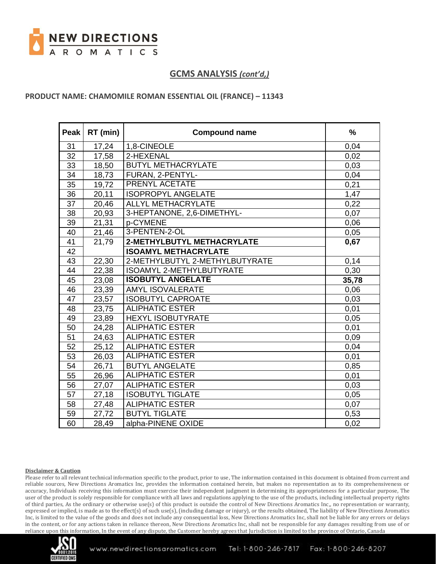

### **PRODUCT NAME: CHAMOMILE ROMAN ESSENTIAL OIL (FRANCE) – 11343**

| <b>Peak</b> | RT (min) | <b>Compound name</b>            | $\frac{9}{6}$ |
|-------------|----------|---------------------------------|---------------|
| 31          | 17,24    | 1,8-CINEOLE                     | 0,04          |
| 32          | 17,58    | 2-HEXENAL                       | 0,02          |
| 33          | 18,50    | <b>BUTYL METHACRYLATE</b>       | 0,03          |
| 34          | 18,73    | FURAN, 2-PENTYL-                | 0,04          |
| 35          | 19,72    | <b>PRENYL ACETATE</b>           | 0,21          |
| 36          | 20,11    | <b>ISOPROPYL ANGELATE</b>       | 1,47          |
| 37          | 20,46    | ALLYL METHACRYLATE              | 0,22          |
| 38          | 20,93    | 3-HEPTANONE, 2,6-DIMETHYL-      | 0,07          |
| 39          | 21,31    | p-CYMENE                        | 0,06          |
| 40          | 21,46    | 3-PENTEN-2-OL                   | 0,05          |
| 41          | 21,79    | 2-METHYLBUTYL METHACRYLATE      | 0,67          |
| 42          |          | <b>ISOAMYL METHACRYLATE</b>     |               |
| 43          | 22,30    | 2-METHYLBUTYL 2-METHYLBUTYRATE  | 0,14          |
| 44          | 22,38    | <b>ISOAMYL 2-METHYLBUTYRATE</b> | 0,30          |
| 45          | 23,08    | <b>ISOBUTYL ANGELATE</b>        | 35,78         |
| 46          | 23,39    | <b>AMYL ISOVALERATE</b>         | 0,06          |
| 47          | 23,57    | <b>ISOBUTYL CAPROATE</b>        | 0,03          |
| 48          | 23,75    | <b>ALIPHATIC ESTER</b>          | 0,01          |
| 49          | 23,89    | <b>HEXYL ISOBUTYRATE</b>        | 0,05          |
| 50          | 24,28    | <b>ALIPHATIC ESTER</b>          | 0,01          |
| 51          | 24,63    | <b>ALIPHATIC ESTER</b>          | 0,09          |
| 52          | 25,12    | <b>ALIPHATIC ESTER</b>          | 0,04          |
| 53          | 26,03    | <b>ALIPHATIC ESTER</b>          | 0,01          |
| 54          | 26,71    | <b>BUTYL ANGELATE</b>           | 0,85          |
| 55          | 26,96    | <b>ALIPHATIC ESTER</b>          | 0,01          |
| 56          | 27,07    | <b>ALIPHATIC ESTER</b>          | 0,03          |
| 57          | 27,18    | <b>ISOBUTYL TIGLATE</b>         | 0,05          |
| 58          | 27,48    | <b>ALIPHATIC ESTER</b>          | 0,07          |
| 59          | 27,72    | <b>BUTYL TIGLATE</b>            | 0,53          |
| 60          | 28,49    | alpha-PINENE OXIDE              | 0,02          |

#### **Disclaimer & Caution**

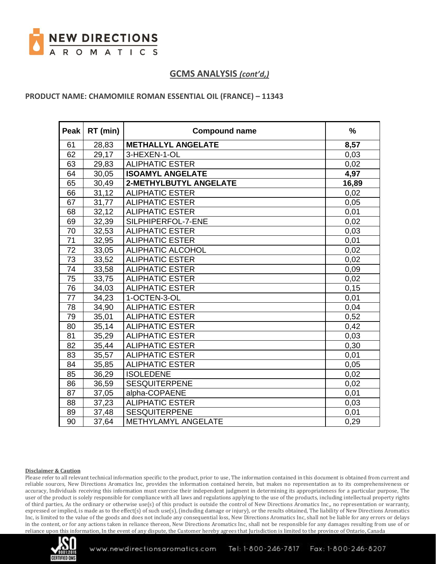

### **PRODUCT NAME: CHAMOMILE ROMAN ESSENTIAL OIL (FRANCE) – 11343**

| <b>Peak</b>     | RT (min) | <b>Compound name</b>          | $\frac{9}{6}$ |
|-----------------|----------|-------------------------------|---------------|
| 61              | 28,83    | <b>METHALLYL ANGELATE</b>     | 8,57          |
| 62              | 29,17    | 3-HEXEN-1-OL                  | 0,03          |
| 63              | 29,83    | <b>ALIPHATIC ESTER</b>        | 0,02          |
| 64              | 30,05    | <b>ISOAMYL ANGELATE</b>       | 4,97          |
| 65              | 30,49    | <b>2-METHYLBUTYL ANGELATE</b> | 16,89         |
| 66              | 31,12    | <b>ALIPHATIC ESTER</b>        | 0,02          |
| 67              | 31,77    | <b>ALIPHATIC ESTER</b>        | 0,05          |
| 68              | 32,12    | <b>ALIPHATIC ESTER</b>        | 0,01          |
| 69              | 32,39    | SILPHIPERFOL-7-ENE            | 0,02          |
| 70              | 32,53    | <b>ALIPHATIC ESTER</b>        | 0,03          |
| 71              | 32,95    | <b>ALIPHATIC ESTER</b>        | 0,01          |
| $\overline{72}$ | 33,05    | <b>ALIPHATIC ALCOHOL</b>      | 0,02          |
| $\overline{73}$ | 33,52    | <b>ALIPHATIC ESTER</b>        | 0,02          |
| 74              | 33,58    | <b>ALIPHATIC ESTER</b>        | 0,09          |
| 75              | 33,75    | <b>ALIPHATIC ESTER</b>        | 0,02          |
| 76              | 34,03    | <b>ALIPHATIC ESTER</b>        | 0,15          |
| 77              | 34,23    | 1-OCTEN-3-OL                  | 0,01          |
| 78              | 34,90    | <b>ALIPHATIC ESTER</b>        | 0,04          |
| 79              | 35,01    | <b>ALIPHATIC ESTER</b>        | 0,52          |
| 80              | 35,14    | <b>ALIPHATIC ESTER</b>        | 0,42          |
| 81              | 35,29    | <b>ALIPHATIC ESTER</b>        | 0,03          |
| 82              | 35,44    | <b>ALIPHATIC ESTER</b>        | 0,30          |
| 83              | 35,57    | <b>ALIPHATIC ESTER</b>        | 0,01          |
| 84              | 35,85    | <b>ALIPHATIC ESTER</b>        | 0,05          |
| 85              | 36,29    | <b>ISOLEDENE</b>              | 0,02          |
| 86              | 36,59    | <b>SESQUITERPENE</b>          | 0,02          |
| 87              | 37,05    | alpha-COPAENE                 | 0,01          |
| 88              | 37,23    | <b>ALIPHATIC ESTER</b>        | 0,03          |
| 89              | 37,48    | <b>SESQUITERPENE</b>          | 0,01          |
| 90              | 37,64    | METHYLAMYL ANGELATE           | 0,29          |

#### **Disclaimer & Caution**

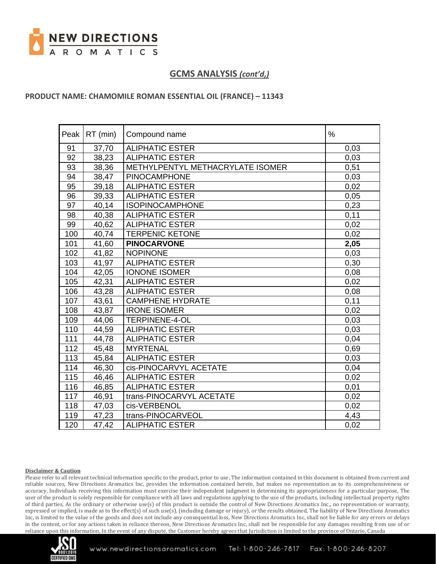

### **PRODUCT NAME: CHAMOMILE ROMAN ESSENTIAL OIL (FRANCE) – 11343**

|     | Peak   RT (min) | Compound name                    | $\%$ |
|-----|-----------------|----------------------------------|------|
| 91  | 37,70           | <b>ALIPHATIC ESTER</b>           | 0,03 |
| 92  | 38,23           | <b>ALIPHATIC ESTER</b>           | 0,03 |
| 93  | 38,36           | METHYLPENTYL METHACRYLATE ISOMER | 0,51 |
| 94  | 38,47           | <b>PINOCAMPHONE</b>              | 0,03 |
| 95  | 39,18           | <b>ALIPHATIC ESTER</b>           | 0,02 |
| 96  | 39,33           | <b>ALIPHATIC ESTER</b>           | 0,05 |
| 97  | 40,14           | <b>ISOPINOCAMPHONE</b>           | 0,23 |
| 98  | 40,38           | <b>ALIPHATIC ESTER</b>           | 0,11 |
| 99  | 40,62           | <b>ALIPHATIC ESTER</b>           | 0,02 |
| 100 | 40,74           | <b>TERPENIC KETONE</b>           | 0,02 |
| 101 | 41,60           | <b>PINOCARVONE</b>               | 2,05 |
| 102 | 41,82           | <b>NOPINONE</b>                  | 0,03 |
| 103 | 41,97           | <b>ALIPHATIC ESTER</b>           | 0,30 |
| 104 | 42,05           | <b>IONONE ISOMER</b>             | 0,08 |
| 105 | 42,31           | <b>ALIPHATIC ESTER</b>           | 0,02 |
| 106 | 43,28           | <b>ALIPHATIC ESTER</b>           | 0,08 |
| 107 | 43,61           | <b>CAMPHENE HYDRATE</b>          | 0,11 |
| 108 | 43,87           | <b>IRONE ISOMER</b>              | 0,02 |
| 109 | 44,06           | <b>TERPINENE-4-OL</b>            | 0,03 |
| 110 | 44,59           | <b>ALIPHATIC ESTER</b>           | 0,03 |
| 111 | 44,78           | <b>ALIPHATIC ESTER</b>           | 0,04 |
| 112 | 45,48           | <b>MYRTENAL</b>                  | 0,69 |
| 113 | 45,84           | <b>ALIPHATIC ESTER</b>           | 0,03 |
| 114 | 46,30           | cis-PINOCARVYL ACETATE           | 0,04 |
| 115 | 46,46           | <b>ALIPHATIC ESTER</b>           | 0,02 |
| 116 | 46,85           | <b>ALIPHATIC ESTER</b>           | 0,01 |
| 117 | 46,91           | trans-PINOCARVYL ACETATE         | 0,02 |
| 118 | 47,03           | cis-VERBENOL                     | 0,02 |
| 119 | 47,23           | trans-PINOCARVEOL                | 4,43 |
| 120 | 47,42           | <b>ALIPHATIC ESTER</b>           | 0,02 |

#### **Disclaimer & Caution**

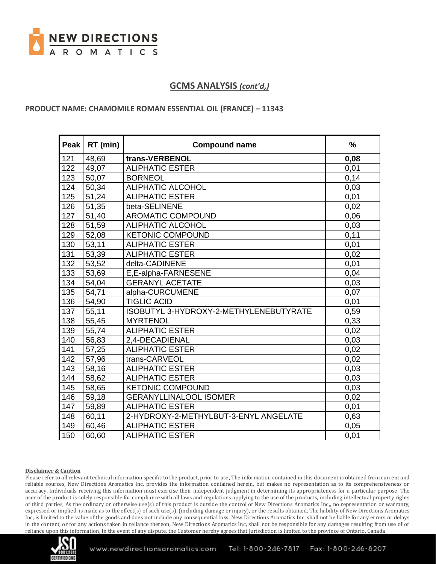

### **PRODUCT NAME: CHAMOMILE ROMAN ESSENTIAL OIL (FRANCE) – 11343**

| Peak | RT (min) | <b>Compound name</b>                   | %    |
|------|----------|----------------------------------------|------|
| 121  | 48,69    | trans-VERBENOL                         | 0,08 |
| 122  | 49,07    | <b>ALIPHATIC ESTER</b>                 | 0,01 |
| 123  | 50,07    | <b>BORNEOL</b>                         | 0,14 |
| 124  | 50,34    | <b>ALIPHATIC ALCOHOL</b>               | 0,03 |
| 125  | 51,24    | <b>ALIPHATIC ESTER</b>                 | 0,01 |
| 126  | 51,35    | beta-SELINENE                          | 0,02 |
| 127  | 51,40    | <b>AROMATIC COMPOUND</b>               | 0,06 |
| 128  | 51,59    | <b>ALIPHATIC ALCOHOL</b>               | 0,03 |
| 129  | 52,08    | <b>KETONIC COMPOUND</b>                | 0,11 |
| 130  | 53,11    | <b>ALIPHATIC ESTER</b>                 | 0,01 |
| 131  | 53,39    | <b>ALIPHATIC ESTER</b>                 | 0,02 |
| 132  | 53,52    | delta-CADINENE                         | 0,01 |
| 133  | 53,69    | E,E-alpha-FARNESENE                    | 0,04 |
| 134  | 54,04    | <b>GERANYL ACETATE</b>                 | 0,03 |
| 135  | 54,71    | alpha-CURCUMENE                        | 0,07 |
| 136  | 54,90    | <b>TIGLIC ACID</b>                     | 0,01 |
| 137  | 55,11    | ISOBUTYL 3-HYDROXY-2-METHYLENEBUTYRATE | 0,59 |
| 138  | 55,45    | <b>MYRTENOL</b>                        | 0,33 |
| 139  | 55,74    | <b>ALIPHATIC ESTER</b>                 | 0,02 |
| 140  | 56,83    | 2,4-DECADIENAL                         | 0,03 |
| 141  | 57,25    | <b>ALIPHATIC ESTER</b>                 | 0,02 |
| 142  | 57,96    | trans-CARVEOL                          | 0,02 |
| 143  | 58,16    | <b>ALIPHATIC ESTER</b>                 | 0,03 |
| 144  | 58,62    | <b>ALIPHATIC ESTER</b>                 | 0,03 |
| 145  | 58,65    | <b>KETONIC COMPOUND</b>                | 0,03 |
| 146  | 59,18    | <b>GERANYLLINALOOL ISOMER</b>          | 0,02 |
| 147  | 59,89    | <b>ALIPHATIC ESTER</b>                 | 0,01 |
| 148  | 60,11    | 2-HYDROXY-2-METHYLBUT-3-ENYL ANGELATE  | 0,63 |
| 149  | 60,46    | <b>ALIPHATIC ESTER</b>                 | 0,05 |
| 150  | 60,60    | <b>ALIPHATIC ESTER</b>                 | 0,01 |

#### **Disclaimer & Caution**